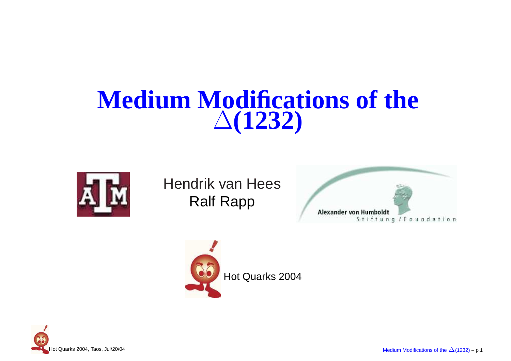#### **Medium Modifications of the**∆**(1232)**



[Hendrik](http://theory.gsi.de/~vanhees/) van HeesRalf Rapp





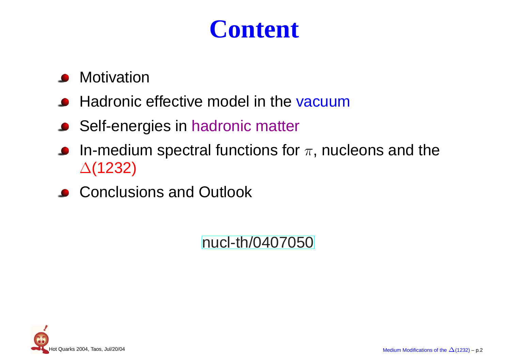### **Content**

- **•** Motivation
- Hadronic effective model in the <mark>vacuum</mark>
- Self-energies in hadronic matter
- In-medium spectral functions for  $\pi,$  nucleons and the  $\bullet$ ∆(1232)
- **Conclusions and Outlook**

[nucl](http://arxiv.org/abs/nucl-th/0407050)-[th/04070](http://arxiv.org/abs/nucl-th/0407050)50

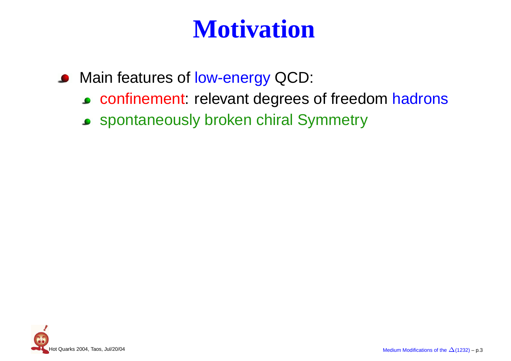### **Motivation**

- Main features of <mark>low-energy</mark> QCD:
	- confinement: relevant degrees of freedom hadrons
	- spontaneously broken chiral Symmetry

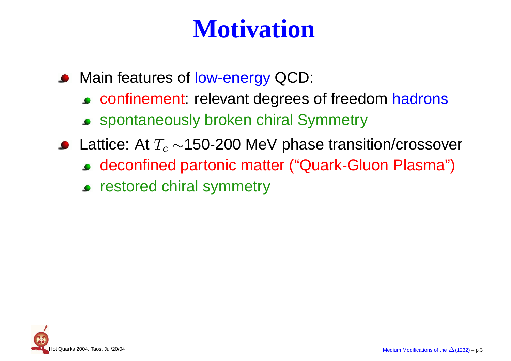### **Motivation**

- Main features of <mark>low-energy</mark> QCD:
	- confinement: relevant degrees of freedom hadrons
	- spontaneously broken chiral Symmetry
- Lattice: At  $T_c \sim$ 150-200 MeV phase transition/crossover
	- deconfined partonic matter ("Quark-Gluon Plasma")
	- **•** restored chiral symmetry

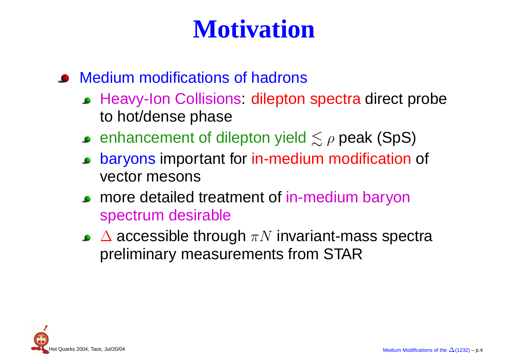### **Motivation**

#### Medium modifications of hadrons

- Heavy-Ion Collisions: dilepton spectra direct probe to hot/dense phase
- enhancement of dilepton yield  $\lesssim \rho$  peak (SpS)
- baryons important for in-medium modification of  $\bullet$ vector mesons
- **PED MORE detailed treatment of in-medium baryon** spectrum desirable
- $\Delta$  accessible through  $\pi N$  invariant-mass spectra<br>proliminary magnutaments from STAD preliminary measurements from STAR

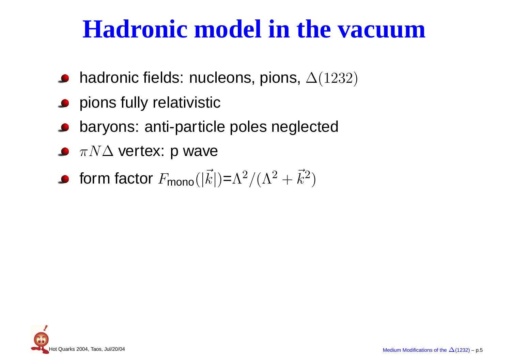#### **Hadronic model in the vacuum**

- $\bullet$  hadronic fields: nucleons, pions,  $\Delta(1232)$
- **•** pions fully relativistic
- baryons: anti-particle poles neglected
- $\pi N\Delta$  vertex: p wave
- form factor  $F_{\mathsf{mono}}(|\vec{k}|) = \Lambda^2/(\Lambda^2 + \vec{k}^2)$

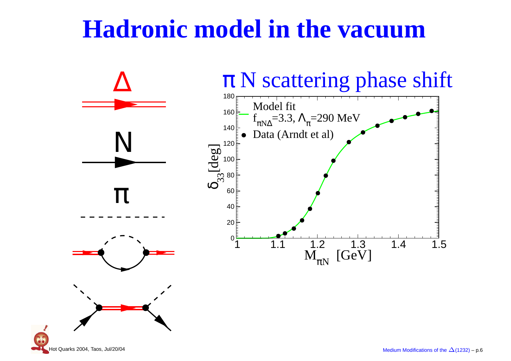#### **Hadronic model in the vacuum**



Hot Quarks 2004, Taos, Jul/20/04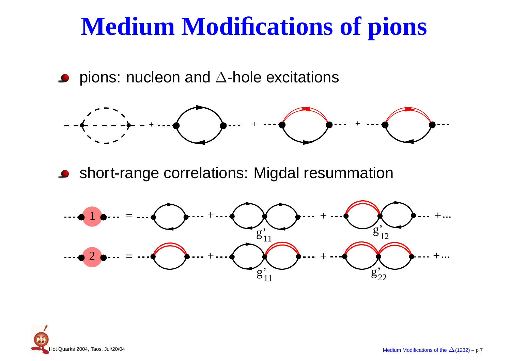#### **Medium Modifications of pions**

pions: nucleon and  $\Delta$ -hole excitations



**Short-range correlations: Migdal resummation** 



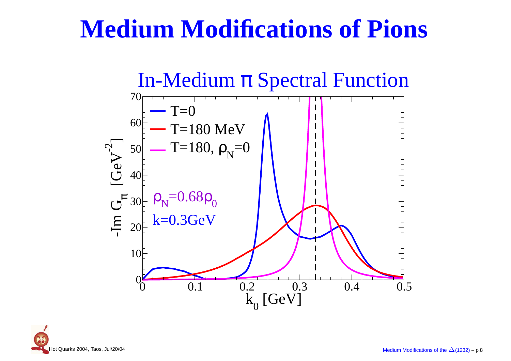#### **Medium Modifications of Pions**



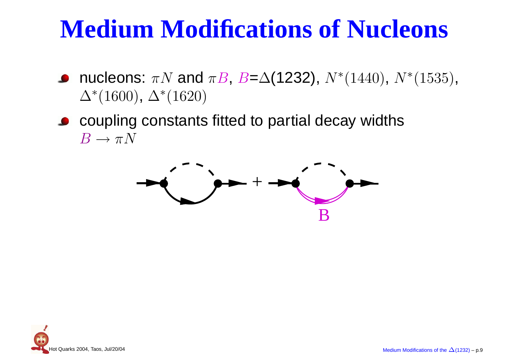### **Medium Modifications of Nucleons**

- nucleons:  $\pi N$  and  $\pi B$ ,  $B=Δ(1232)$ ,  $N^*(1440)$ ,  $N^*(1535)$ ,<br> $\Lambda^*(1600)$  ,  $\Lambda^*(1690)$  $\Delta^*(1600)$ ,  $\Delta^*(1620)$
- coupling constants fitted to partial decay widths $B \to \pi N$



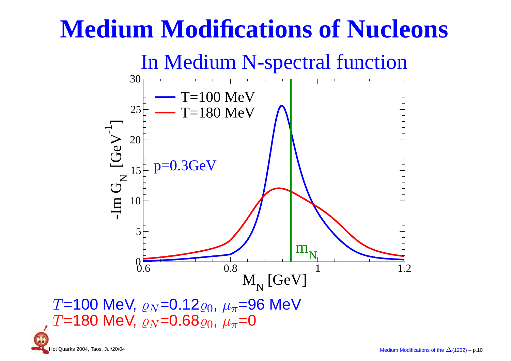### **Medium Modifications of Nucleons**



 $T$ =100 MeV,  $\varrho_N$ =0.12 $\varrho_0$ ,  $\mu_\pi$ =96 MeV<br> $T$ –180 MeV,  $\varrho_N$ =0.68 $\varrho_2$ ,  $\mu_\pi$ =0  $T$ =180 MeV,  $\varrho_{N}$ =0.68 $\varrho_{0},$   $\mu_{\pi}$ =0

Hot Quarks 2004, Taos, Jul/20/04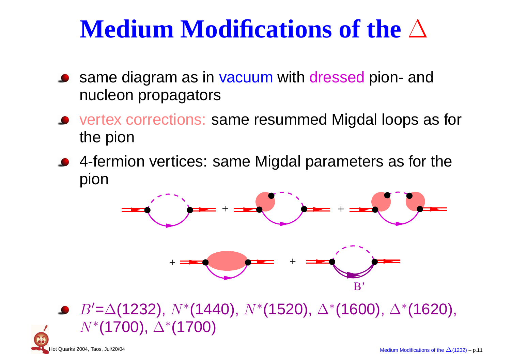# **Medium Modifications of the** <sup>∆</sup>

- same diagram as in vacuum with dressed pion- and<br>pucloon propagators nucleon propagators
- vertex corrections: same resummed Migdal loops as forthe pion
- 4-fermion vertices: same Migdal parameters as for thepion



 $B' {=} \Delta(1232),\, N{*} (1440),\, N{*} (1520),\, \Delta{*} (1600),\, \Delta{*} (1620),$  $N^*($ **1700)**,  $\Delta^*($ **1700)**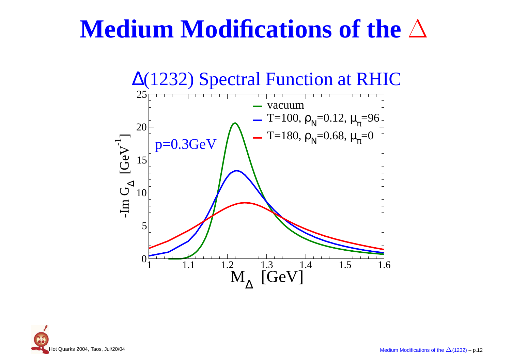## **Medium Modifications of the** <sup>∆</sup>



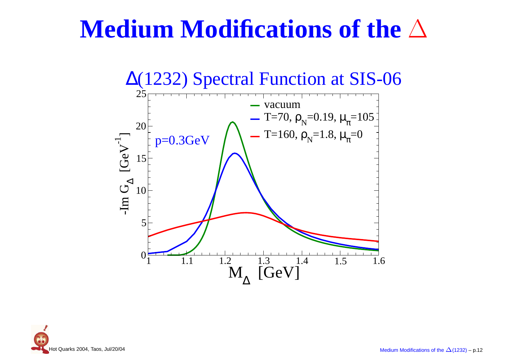## **Medium Modifications of the** <sup>∆</sup>



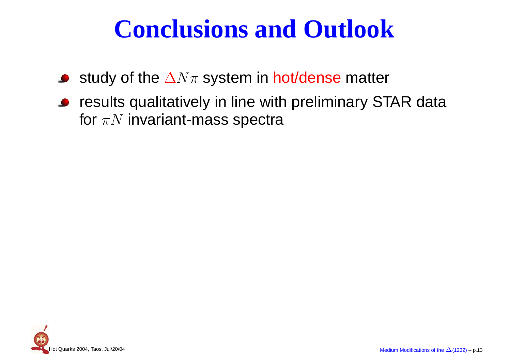#### **Conclusions and Outlook**

- study of the  $\Delta N\pi$  system in hot/dense matter
- **•** results qualitatively in line with preliminary STAR data for  $\pi N$  invariant-mass spectra